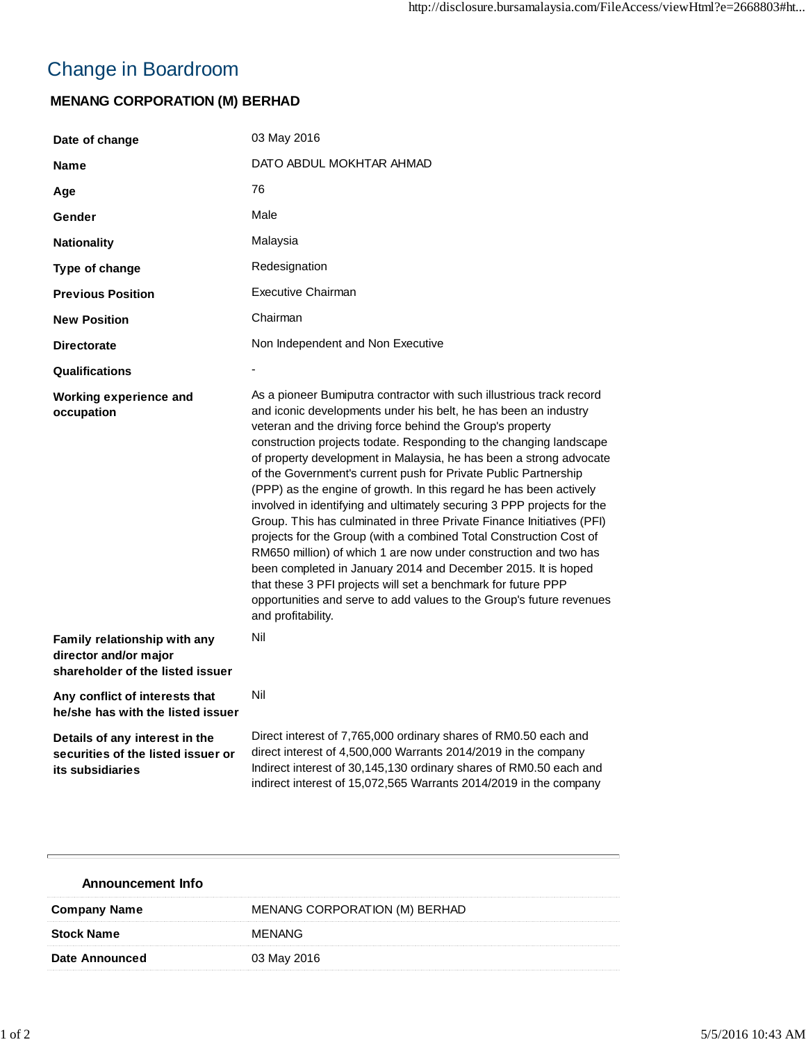## Change in Boardroom

## **MENANG CORPORATION (M) BERHAD**

| Date of change                                                                            | 03 May 2016                                                                                                                                                                                                                                                                                                                                                                                                                                                                                                                                                                                                                                                                                                                                                                                                                                                                                                                                                                                                            |
|-------------------------------------------------------------------------------------------|------------------------------------------------------------------------------------------------------------------------------------------------------------------------------------------------------------------------------------------------------------------------------------------------------------------------------------------------------------------------------------------------------------------------------------------------------------------------------------------------------------------------------------------------------------------------------------------------------------------------------------------------------------------------------------------------------------------------------------------------------------------------------------------------------------------------------------------------------------------------------------------------------------------------------------------------------------------------------------------------------------------------|
| <b>Name</b>                                                                               | DATO ABDUL MOKHTAR AHMAD                                                                                                                                                                                                                                                                                                                                                                                                                                                                                                                                                                                                                                                                                                                                                                                                                                                                                                                                                                                               |
| Age                                                                                       | 76                                                                                                                                                                                                                                                                                                                                                                                                                                                                                                                                                                                                                                                                                                                                                                                                                                                                                                                                                                                                                     |
| Gender                                                                                    | Male                                                                                                                                                                                                                                                                                                                                                                                                                                                                                                                                                                                                                                                                                                                                                                                                                                                                                                                                                                                                                   |
| <b>Nationality</b>                                                                        | Malaysia                                                                                                                                                                                                                                                                                                                                                                                                                                                                                                                                                                                                                                                                                                                                                                                                                                                                                                                                                                                                               |
| Type of change                                                                            | Redesignation                                                                                                                                                                                                                                                                                                                                                                                                                                                                                                                                                                                                                                                                                                                                                                                                                                                                                                                                                                                                          |
| <b>Previous Position</b>                                                                  | <b>Executive Chairman</b>                                                                                                                                                                                                                                                                                                                                                                                                                                                                                                                                                                                                                                                                                                                                                                                                                                                                                                                                                                                              |
| <b>New Position</b>                                                                       | Chairman                                                                                                                                                                                                                                                                                                                                                                                                                                                                                                                                                                                                                                                                                                                                                                                                                                                                                                                                                                                                               |
| <b>Directorate</b>                                                                        | Non Independent and Non Executive                                                                                                                                                                                                                                                                                                                                                                                                                                                                                                                                                                                                                                                                                                                                                                                                                                                                                                                                                                                      |
| Qualifications                                                                            |                                                                                                                                                                                                                                                                                                                                                                                                                                                                                                                                                                                                                                                                                                                                                                                                                                                                                                                                                                                                                        |
| Working experience and<br>occupation                                                      | As a pioneer Bumiputra contractor with such illustrious track record<br>and iconic developments under his belt, he has been an industry<br>veteran and the driving force behind the Group's property<br>construction projects todate. Responding to the changing landscape<br>of property development in Malaysia, he has been a strong advocate<br>of the Government's current push for Private Public Partnership<br>(PPP) as the engine of growth. In this regard he has been actively<br>involved in identifying and ultimately securing 3 PPP projects for the<br>Group. This has culminated in three Private Finance Initiatives (PFI)<br>projects for the Group (with a combined Total Construction Cost of<br>RM650 million) of which 1 are now under construction and two has<br>been completed in January 2014 and December 2015. It is hoped<br>that these 3 PFI projects will set a benchmark for future PPP<br>opportunities and serve to add values to the Group's future revenues<br>and profitability. |
| Family relationship with any<br>director and/or major<br>shareholder of the listed issuer | Nil                                                                                                                                                                                                                                                                                                                                                                                                                                                                                                                                                                                                                                                                                                                                                                                                                                                                                                                                                                                                                    |
| Any conflict of interests that<br>he/she has with the listed issuer                       | Nil                                                                                                                                                                                                                                                                                                                                                                                                                                                                                                                                                                                                                                                                                                                                                                                                                                                                                                                                                                                                                    |
| Details of any interest in the<br>securities of the listed issuer or<br>its subsidiaries  | Direct interest of 7,765,000 ordinary shares of RM0.50 each and<br>direct interest of 4,500,000 Warrants 2014/2019 in the company<br>Indirect interest of 30,145,130 ordinary shares of RM0.50 each and<br>indirect interest of 15,072,565 Warrants 2014/2019 in the company                                                                                                                                                                                                                                                                                                                                                                                                                                                                                                                                                                                                                                                                                                                                           |

| <b>Announcement Info</b> |                               |
|--------------------------|-------------------------------|
| <b>Company Name</b>      | MENANG CORPORATION (M) BERHAD |
| <b>Stock Name</b>        | <b>MENANG</b>                 |
| Date Announced           | 03 May 2016                   |